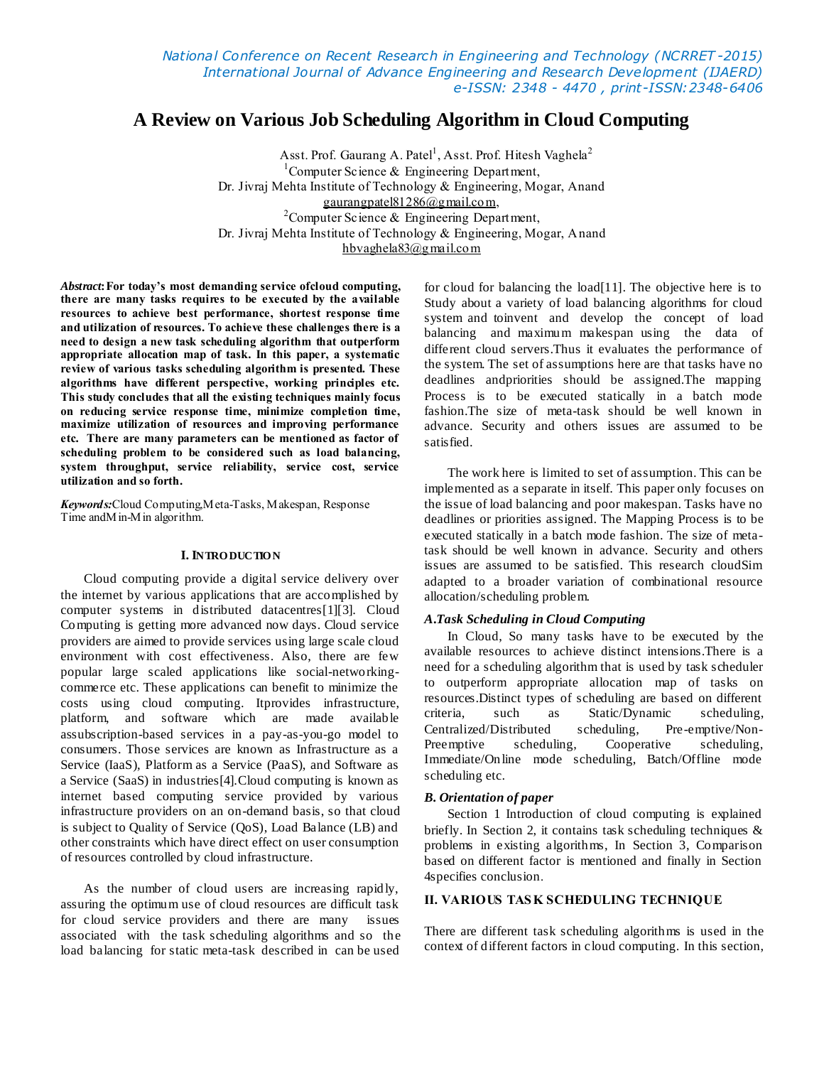# **A Review on Various Job Scheduling Algorithm in Cloud Computing**

Asst. Prof. Gaurang A. Patel<sup>1</sup>, Asst. Prof. Hitesh Vaghela<sup>2</sup> <sup>1</sup>Computer Science  $\&$  Engineering Department, Dr. Jivraj Mehta Institute of Technology & Engineering, Mogar, Anand [gaurangpatel81286@gmail.com,](mailto:gaurangpatel81286@gmail.com) <sup>2</sup>Computer Science  $\&$  Engineering Department, Dr. Jivraj Mehta Institute of Technology & Engineering, Mogar, Anand [hbvaghela83@gmail.com](mailto:hbvaghela83@gmail.com)

*Abstract***:For today's most demanding service ofcloud computing, there are many tasks requires to be executed by the available resources to achieve best performance, shortest response time and utilization of resources. To achieve these challenges there is a need to design a new task scheduling algorithm that outperform appropriate allocation map of task. In this paper, a systematic review of various tasks scheduling algorithm is presented. These algorithms have different perspective, working principles etc. This study concludes that all the existing techniques mainly focus on reducing service response time, minimize completion time, maximize utilization of resources and improving performance etc. There are many parameters can be mentioned as factor of scheduling problem to be considered such as load balancing, system throughput, service reliability, service cost, service utilization and so forth.**

*Keywords:*Cloud Computing,Meta-Tasks, Makespan, Response Time andMin-Min algorithm.

#### **I. INTRO DUCTIO N**

Cloud computing provide a digital service delivery over the internet by various applications that are accomplished by computer systems in distributed datacentres[1][3]. Cloud Computing is getting more advanced now days. Cloud service providers are aimed to provide services using large scale cloud environment with cost effectiveness. Also, there are few popular large scaled applications like social-networkingcommerce etc. These applications can benefit to minimize the costs using cloud computing. Itprovides infrastructure, platform, and software which are made available assubscription-based services in a pay-as-you-go model to consumers. Those services are known as Infrastructure as a Service (IaaS), Platform as a Service (PaaS), and Software as a Service (SaaS) in industries[4].Cloud computing is known as internet based computing service provided by various infrastructure providers on an on-demand basis, so that cloud is subject to Quality of Service (QoS), Load Balance (LB) and other constraints which have direct effect on user consumption of resources controlled by cloud infrastructure.

As the number of cloud users are increasing rapidly, assuring the optimum use of cloud resources are difficult task for cloud service providers and there are many issues associated with the task scheduling algorithms and so the load balancing for static meta-task described in can be used

for cloud for balancing the load[11]. The objective here is to Study about a variety of load balancing algorithms for cloud system and toinvent and develop the concept of load balancing and maximum makespan using the data of different cloud servers.Thus it evaluates the performance of the system. The set of assumptions here are that tasks have no deadlines andpriorities should be assigned.The mapping Process is to be executed statically in a batch mode fashion.The size of meta-task should be well known in advance. Security and others issues are assumed to be satisfied.

The work here is limited to set of assumption. This can be implemented as a separate in itself. This paper only focuses on the issue of load balancing and poor makespan. Tasks have no deadlines or priorities assigned. The Mapping Process is to be executed statically in a batch mode fashion. The size of metatask should be well known in advance. Security and others issues are assumed to be satisfied. This research cloudSim adapted to a broader variation of combinational resource allocation/scheduling problem.

## *A***.***Task Scheduling in Cloud Computing*

In Cloud, So many tasks have to be executed by the available resources to achieve distinct intensions.There is a need for a scheduling algorithm that is used by task scheduler to outperform appropriate allocation map of tasks on resources.Distinct types of scheduling are based on different criteria, such as Static/Dynamic scheduling, Centralized/Distributed scheduling, Pre-emptive/Non-Preemptive scheduling, Cooperative scheduling, Immediate/Online mode scheduling, Batch/Offline mode scheduling etc.

#### *B. Orientation of paper*

Section 1 Introduction of cloud computing is explained briefly. In Section 2, it contains task scheduling techniques & problems in existing algorithms, In Section 3, Comparison based on different factor is mentioned and finally in Section 4specifies conclusion.

# **II. VARIOUS TAS K SCHEDULING TECHNIQUE**

There are different task scheduling algorithms is used in the context of different factors in cloud computing. In this section,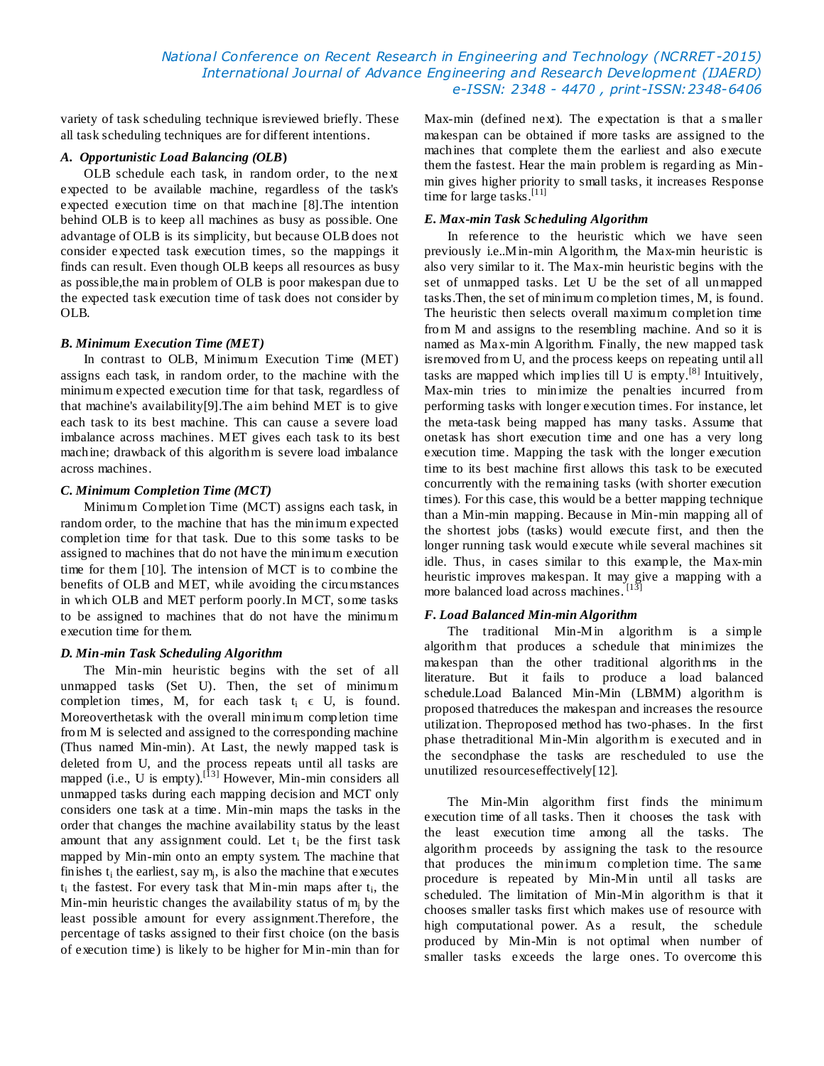# *National Conference on Recent Research in Engineering and Technology (NCRRET -2015) International Journal of Advance Engineering and Research Development (IJAERD) e-ISSN: 2348 - 4470 , print-ISSN:2348-6406*

variety of task scheduling technique isreviewed briefly. These all task scheduling techniques are for different intentions.

## *A. Opportunistic Load Balancing (OLB***)**

OLB schedule each task, in random order, to the next expected to be available machine, regardless of the task's expected execution time on that machine [8].The intention behind OLB is to keep all machines as busy as possible. One advantage of OLB is its simplicity, but because OLB does not consider expected task execution times, so the mappings it finds can result. Even though OLB keeps all resources as busy as possible,the main problem of OLB is poor makespan due to the expected task execution time of task does not consider by OLB.

## *B. Minimum Execution Time (MET)*

In contrast to OLB, Minimum Execution Time (MET) assigns each task, in random order, to the machine with the minimum expected execution time for that task, regardless of that machine's availability[9].The aim behind MET is to give each task to its best machine. This can cause a severe load imbalance across machines. MET gives each task to its best machine; drawback of this algorithm is severe load imbalance across machines.

#### *C. Minimum Completion Time (MCT)*

Minimum Completion Time (MCT) assigns each task, in random order, to the machine that has the minimum expected completion time for that task. Due to this some tasks to be assigned to machines that do not have the minimum execution time for them [10]. The intension of MCT is to combine the benefits of OLB and MET, while avoiding the circumstances in which OLB and MET perform poorly.In MCT, some tasks to be assigned to machines that do not have the minimum execution time for them.

#### *D. Min-min Task Scheduling Algorithm*

The Min-min heuristic begins with the set of all unmapped tasks (Set U). Then, the set of minimum completion times, M, for each task  $t_i \in U$ , is found. Moreoverthetask with the overall minimum completion time from M is selected and assigned to the corresponding machine (Thus named Min-min). At Last, the newly mapped task is deleted from U, and the process repeats until all tasks are mapped (i.e., U is empty).<sup>[13]</sup> However, Min-min considers all unmapped tasks during each mapping decision and MCT only considers one task at a time. Min-min maps the tasks in the order that changes the machine availability status by the least amount that any assignment could. Let  $t_i$  be the first task mapped by Min-min onto an empty system. The machine that fin ishes  $t_i$  the earliest, say  $m_j$ , is also the machine that executes  $t_i$  the fastest. For every task that Min-min maps after  $t_i$ , the Min-min heuristic changes the availability status of  $m_i$  by the least possible amount for every assignment.Therefore, the percentage of tasks assigned to their first choice (on the basis of execution time) is likely to be higher for Min-min than for

Max-min (defined next). The expectation is that a s maller makespan can be obtained if more tasks are assigned to the machines that complete them the earliest and also execute them the fastest. Hear the main problem is regarding as Minmin gives higher priority to small tasks, it increases Response time for large tasks.<sup>[11]</sup>

### *E. Max-min Task Scheduling Algorithm*

In reference to the heuristic which we have seen previously i.e..Min-min Algorithm, the Max-min heuristic is also very similar to it. The Max-min heuristic begins with the set of unmapped tasks. Let U be the set of all unmapped tasks.Then, the set of minimum completion times, M, is found. The heuristic then selects overall maximum completion time from M and assigns to the resembling machine. And so it is named as Max-min Algorithm. Finally, the new mapped task isremoved from U, and the process keeps on repeating until all tasks are mapped which implies till U is empty.<sup>[8]</sup> Intuitively, Max-min tries to minimize the penalties incurred from performing tasks with longer execution times. For instance, let the meta-task being mapped has many tasks. Assume that onetask has short execution time and one has a very long execution time. Mapping the task with the longer execution time to its best machine first allows this task to be executed concurrently with the remaining tasks (with shorter execution times). For this case, this would be a better mapping technique than a Min-min mapping. Because in Min-min mapping all of the shortest jobs (tasks) would execute first, and then the longer running task would execute while several machines sit idle. Thus, in cases similar to this example, the Max-min heuristic improves makespan. It may give a mapping with a more balanced load across machines.<sup>[13]</sup>

## *F. Load Balanced Min-min Algorithm*

The traditional Min-Min algorithm is a simple algorithm that produces a schedule that minimizes the makespan than the other traditional algorithms in the literature. But it fails to produce a load balanced schedule.Load Balanced Min-Min (LBMM) algorithm is proposed thatreduces the makespan and increases the resource utilization. Theproposed method has two-phases. In the first phase thetraditional Min-Min algorithm is executed and in the secondphase the tasks are rescheduled to use the unutilized resourceseffectively[12].

The Min-Min algorithm first finds the minimum execution time of all tasks. Then it chooses the task with the least execution time among all the tasks. The algorithm proceeds by assigning the task to the resource that produces the minimum completion time. The same procedure is repeated by Min-Min until all tasks are scheduled. The limitation of Min-Min algorithm is that it chooses smaller tasks first which makes use of resource with high computational power. As a result, the schedule produced by Min-Min is not optimal when number of smaller tasks exceeds the large ones. To overcome this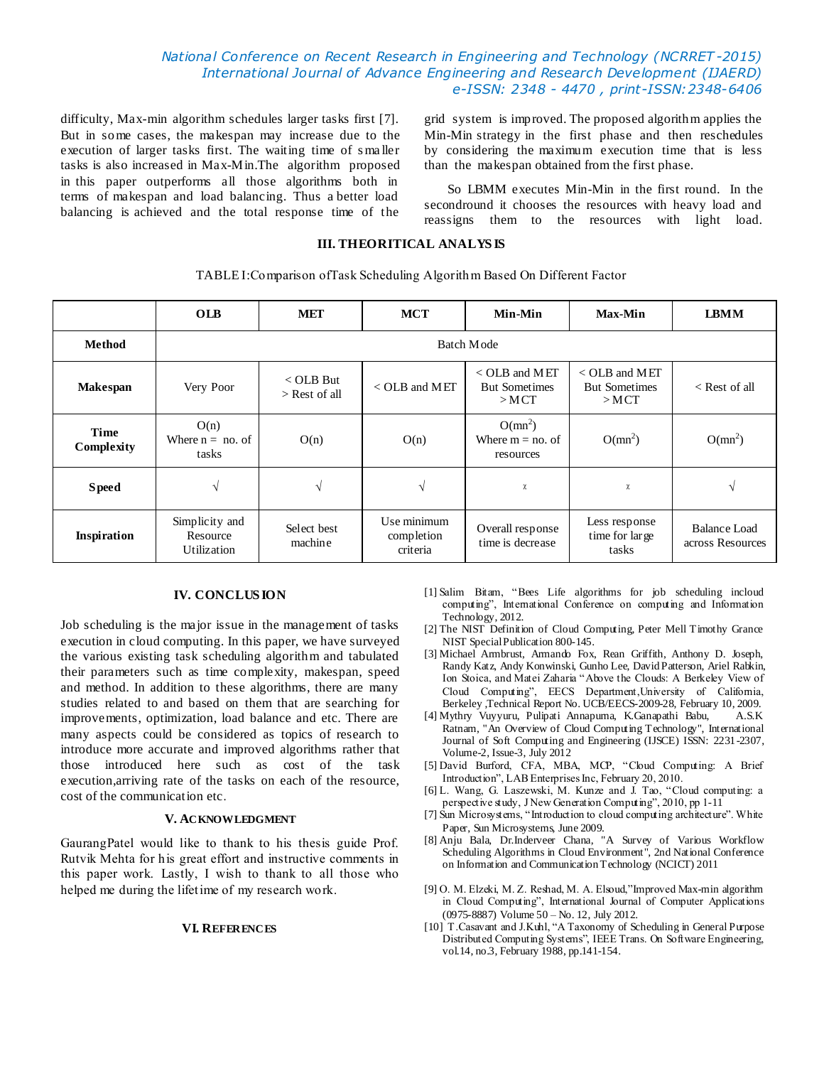# *National Conference on Recent Research in Engineering and Technology (NCRRET -2015) International Journal of Advance Engineering and Research Development (IJAERD) e-ISSN: 2348 - 4470 , print-ISSN:2348-6406*

difficulty, Max-min algorithm schedules larger tasks first [7]. But in some cases, the makespan may increase due to the execution of larger tasks first. The waiting time of s ma ller tasks is also increased in Max-Min.The algorithm proposed in this paper outperforms all those algorithms both in terms of makespan and load balancing. Thus a better load balancing is achieved and the total response time of the

grid system is improved. The proposed algorithm applies the Min-Min strategy in the first phase and then reschedules by considering the maximum execution time that is less than the makespan obtained from the first phase.

So LBMM executes Min-Min in the first round. In the secondround it chooses the resources with heavy load and reassigns them to the resources with light load.

# **III. THEORITICAL ANALYS IS**

TABLE I:Comparison ofTask Scheduling Algorithm Based On Different Factor

|                    | <b>OLB</b>                                | MET                                  | <b>MCT</b>                            | Min-Min                                            | <b>Max-Min</b>                                     | <b>LBMM</b>                      |
|--------------------|-------------------------------------------|--------------------------------------|---------------------------------------|----------------------------------------------------|----------------------------------------------------|----------------------------------|
| Method             | Batch Mode                                |                                      |                                       |                                                    |                                                    |                                  |
| <b>Makespan</b>    | Very Poor                                 | $\langle$ OLB But<br>$>$ Rest of all | $<$ OLB and MET                       | $<$ OLB and MET<br><b>But Sometimes</b><br>$>$ MCT | $<$ OLB and MET<br><b>But Sometimes</b><br>$>$ MCT | $\leq$ Rest of all               |
| Time<br>Complexity | O(n)<br>Where $n = no$ . of<br>tasks      | O(n)                                 | O(n)                                  | $O(mn^2)$<br>Where $m = n_0$ , of<br>resources     | $O(mn^2)$                                          | $O(mn^2)$                        |
| <b>S</b> peed      | V                                         |                                      | V                                     | χ                                                  | χ                                                  | V                                |
| <b>Inspiration</b> | Simplicity and<br>Resource<br>Utilization | Select best<br>machine               | Use minimum<br>completion<br>criteria | Overall response<br>time is decrease               | Less response<br>time for large<br>tasks           | Balance Load<br>across Resources |

## **IV. CONCLUS ION**

Job scheduling is the major issue in the management of tasks execution in cloud computing. In this paper, we have surveyed the various existing task scheduling algorithm and tabulated their parameters such as time complexity, makespan, speed and method. In addition to these algorithms, there are many studies related to and based on them that are searching for improvements, optimization, load balance and etc. There are many aspects could be considered as topics of research to introduce more accurate and improved algorithms rather that those introduced here such as cost of the task execution,arriving rate of the tasks on each of the resource, cost of the communication etc.

#### **V. ACKNOWLEDGMENT**

GaurangPatel would like to thank to his thesis guide Prof. Rutvik Mehta for his great effort and instructive comments in this paper work. Lastly, I wish to thank to all those who helped me during the lifetime of my research work.

#### **VI. REFERENCES**

- [1] Salim Bitam, "Bees Life algorithms for job scheduling incloud computing", International Conference on computing and Information Technology, 2012.
- [2] The NIST Definition of Cloud Computing, Peter Mell Timothy Grance NIST Special Publication 800-145.
- [3] Michael Armbrust, Armando Fox, Rean Griffith, Anthony D. Joseph, Randy Katz, Andy Konwinski, Gunho Lee, David Patterson, Ariel Rabkin, Ion Stoica, and Matei Zaharia "Above the Clouds: A Berkeley View of Cloud Computing", EECS Department,University of California, Berkeley ,Technical Report No. UCB/EECS-2009-28, February 10, 2009.
- [4] Mythry Vuyyuru, Pulipati Annapurna, K.Ganapathi Babu, A.S.K Ratnam, "An Overview of Cloud Computing Technology", International Journal of Soft Computing and Engineering (IJSCE) ISSN: 2231-2307, Volume-2, Issue-3, July 2012
- [5] David Burford, CFA, MBA, MCP, "Cloud Computing: A Brief Introduction", LAB Enterprises Inc, February 20, 2010.
- [6] L. Wang, G. Laszewski, M. Kunze and J. Tao, "Cloud computing: a perspective study, J New Generation Computing", 2010, pp 1-11
- [7] Sun Microsystems, "Introduction to cloud computing architecture". White Paper, Sun Microsystems, June 2009.
- [8] Anju Bala, Dr.Inderveer Chana, "A Survey of Various Workflow Scheduling Algorithms in Cloud Environment", 2nd National Conference on Information and Communication Technology (NCICT) 2011
- [9] O. M. Elzeki, M. Z. Reshad, M. A. Elsoud,"Improved Max-min algorithm in Cloud Computing", International Journal of Computer Applications (0975-8887) Volume 50 – No. 12, July 2012.
- [10] T.Casavant and J.Kuhl, "A Taxonomy of Scheduling in General Purpose Distributed Computing Systems", IEEE Trans. On Software Engineering, vol.14, no.3, February 1988, pp.141-154.